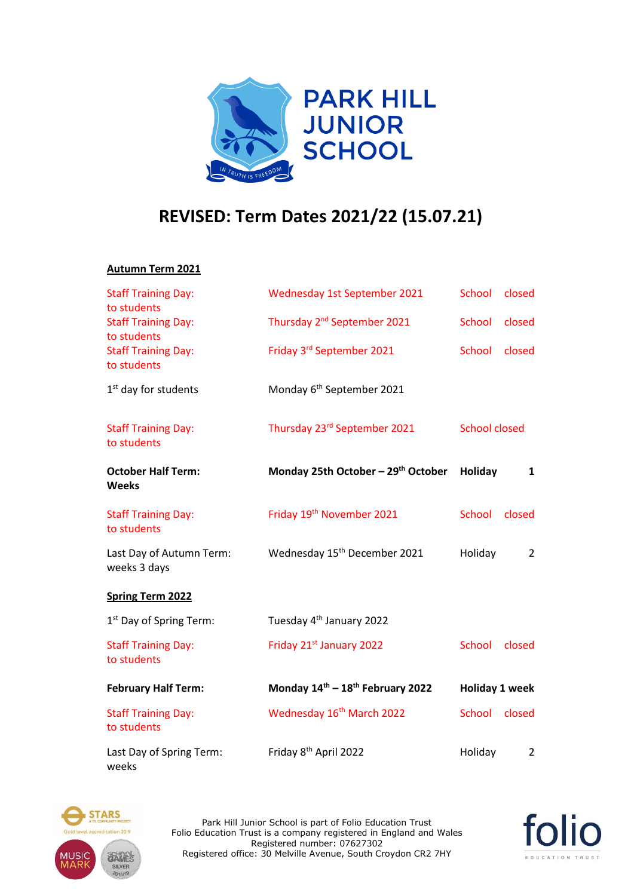

## **REVISED: Term Dates 2021/22 (15.07.21)**

## **Autumn Term 2021**

| <b>Staff Training Day:</b><br>to students                | Wednesday 1st September 2021             | <b>School</b>        | closed         |
|----------------------------------------------------------|------------------------------------------|----------------------|----------------|
| <b>Staff Training Day:</b>                               | Thursday 2 <sup>nd</sup> September 2021  | <b>School</b>        | closed         |
| to students<br><b>Staff Training Day:</b><br>to students | Friday 3rd September 2021                | <b>School</b>        | closed         |
| 1 <sup>st</sup> day for students                         | Monday 6 <sup>th</sup> September 2021    |                      |                |
| <b>Staff Training Day:</b><br>to students                | Thursday 23rd September 2021             | <b>School closed</b> |                |
| <b>October Half Term:</b><br><b>Weeks</b>                | Monday 25th October - 29th October       | Holiday              | 1              |
| <b>Staff Training Day:</b><br>to students                | Friday 19th November 2021                | <b>School</b>        | closed         |
| Last Day of Autumn Term:<br>weeks 3 days                 | Wednesday 15 <sup>th</sup> December 2021 | Holiday              | $\overline{2}$ |
| <b>Spring Term 2022</b>                                  |                                          |                      |                |
| 1 <sup>st</sup> Day of Spring Term:                      | Tuesday 4 <sup>th</sup> January 2022     |                      |                |
| <b>Staff Training Day:</b><br>to students                | Friday 21st January 2022                 | <b>School</b>        | closed         |
| <b>February Half Term:</b>                               | Monday 14th - 18th February 2022         | Holiday 1 week       |                |
| <b>Staff Training Day:</b><br>to students                | Wednesday 16 <sup>th</sup> March 2022    | School               | closed         |
| Last Day of Spring Term:<br>weeks                        | Friday 8 <sup>th</sup> April 2022        | Holiday              | $\overline{2}$ |



Park Hill Junior School is part of Folio Education Trust Folio Education Trust is a company registered in England and Wales Registered number: 07627302 Registered office: 30 Melville Avenue, South Croydon CR2 7HY